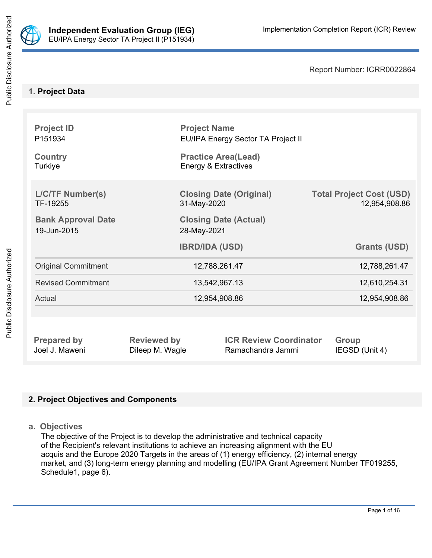

Public Disclosure Authorized

Report Number: ICRR0022864

# **1. Project Data**

| <b>Project ID</b><br>P151934<br><b>Country</b><br>Turkiye |                    | <b>Project Name</b><br>EU/IPA Energy Sector TA Project II<br><b>Practice Area(Lead)</b><br>Energy & Extractives |                                                  |
|-----------------------------------------------------------|--------------------|-----------------------------------------------------------------------------------------------------------------|--------------------------------------------------|
| <b>L/C/TF Number(s)</b><br>TF-19255                       |                    | <b>Closing Date (Original)</b><br>31-May-2020                                                                   | <b>Total Project Cost (USD)</b><br>12,954,908.86 |
| <b>Bank Approval Date</b><br>19-Jun-2015                  |                    | <b>Closing Date (Actual)</b><br>28-May-2021                                                                     |                                                  |
|                                                           |                    | <b>IBRD/IDA (USD)</b>                                                                                           | <b>Grants (USD)</b>                              |
| <b>Original Commitment</b>                                | 12,788,261.47      |                                                                                                                 | 12,788,261.47                                    |
| <b>Revised Commitment</b>                                 | 13,542,967.13      |                                                                                                                 | 12,610,254.31                                    |
| Actual                                                    | 12,954,908.86      |                                                                                                                 | 12,954,908.86                                    |
|                                                           |                    |                                                                                                                 |                                                  |
| <b>Prepared by</b>                                        | <b>Reviewed by</b> | <b>ICR Review Coordinator</b>                                                                                   | <b>Group</b>                                     |

Joel J. Maweni **Dileep M. Wagle** Ramachandra Jammi **IEGSD** (Unit 4)

# **2. Project Objectives and Components**

**a. Objectives**

The objective of the Project is to develop the administrative and technical capacity of the Recipient's relevant institutions to achieve an increasing alignment with the EU acquis and the Europe 2020 Targets in the areas of (1) energy efficiency, (2) internal energy market, and (3) long-term energy planning and modelling (EU/IPA Grant Agreement Number TF019255, Schedule1, page 6).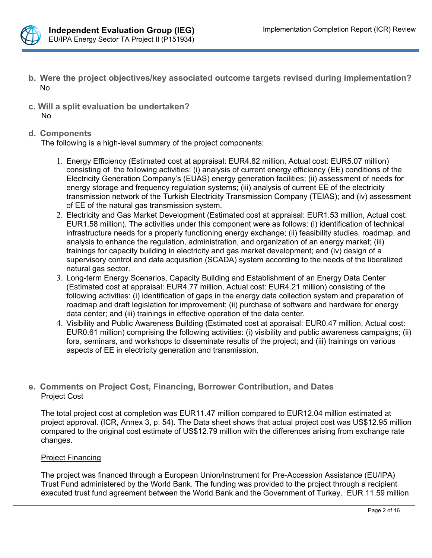

- **b. Were the project objectives/key associated outcome targets revised during implementation?** No
- **c. Will a split evaluation be undertaken?** No
- **d. Components**

The following is a high-level summary of the project components:

- 1. Energy Efficiency (Estimated cost at appraisal: EUR4.82 million, Actual cost: EUR5.07 million) consisting of the following activities: (i) analysis of current energy efficiency (EE) conditions of the Electricity Generation Company's (EUAS) energy generation facilities; (ii) assessment of needs for energy storage and frequency regulation systems; (iii) analysis of current EE of the electricity transmission network of the Turkish Electricity Transmission Company (TEIAS); and (iv) assessment of EE of the natural gas transmission system.
- 2. Electricity and Gas Market Development (Estimated cost at appraisal: EUR1.53 million, Actual cost: EUR1.58 million). The activities under this component were as follows: (i) identification of technical infrastructure needs for a properly functioning energy exchange; (ii) feasibility studies, roadmap, and analysis to enhance the regulation, administration, and organization of an energy market; (iii) trainings for capacity building in electricity and gas market development; and (iv) design of a supervisory control and data acquisition (SCADA) system according to the needs of the liberalized natural gas sector.
- 3. Long-term Energy Scenarios, Capacity Building and Establishment of an Energy Data Center (Estimated cost at appraisal: EUR4.77 million, Actual cost: EUR4.21 million) consisting of the following activities: (i) identification of gaps in the energy data collection system and preparation of roadmap and draft legislation for improvement; (ii) purchase of software and hardware for energy data center; and (iii) trainings in effective operation of the data center.
- 4. Visibility and Public Awareness Building (Estimated cost at appraisal: EUR0.47 million, Actual cost: EUR0.61 million) comprising the following activities: (i) visibility and public awareness campaigns; (ii) fora, seminars, and workshops to disseminate results of the project; and (iii) trainings on various aspects of EE in electricity generation and transmission.

# **e. Comments on Project Cost, Financing, Borrower Contribution, and Dates** Project Cost

The total project cost at completion was EUR11.47 million compared to EUR12.04 million estimated at project approval. (ICR, Annex 3, p. 54). The Data sheet shows that actual project cost was US\$12.95 million compared to the original cost estimate of US\$12.79 million with the differences arising from exchange rate changes.

### Project Financing

The project was financed through a European Union/Instrument for Pre-Accession Assistance (EU/IPA) Trust Fund administered by the World Bank. The funding was provided to the project through a recipient executed trust fund agreement between the World Bank and the Government of Turkey. EUR 11.59 million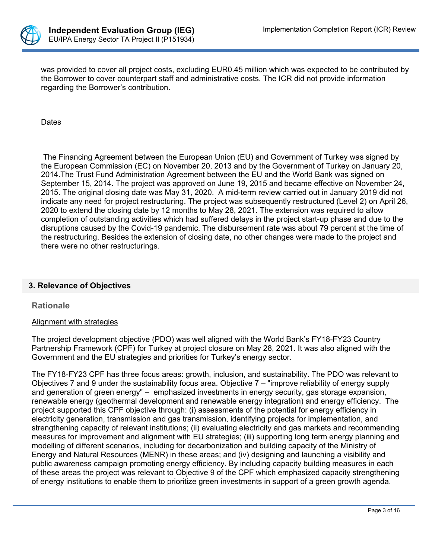

was provided to cover all project costs, excluding EUR0.45 million which was expected to be contributed by the Borrower to cover counterpart staff and administrative costs. The ICR did not provide information regarding the Borrower's contribution.

Dates

 The Financing Agreement between the European Union (EU) and Government of Turkey was signed by the European Commission (EC) on November 20, 2013 and by the Government of Turkey on January 20, 2014.The Trust Fund Administration Agreement between the EU and the World Bank was signed on September 15, 2014. The project was approved on June 19, 2015 and became effective on November 24, 2015. The original closing date was May 31, 2020. A mid-term review carried out in January 2019 did not indicate any need for project restructuring. The project was subsequently restructured (Level 2) on April 26, 2020 to extend the closing date by 12 months to May 28, 2021. The extension was required to allow completion of outstanding activities which had suffered delays in the project start-up phase and due to the disruptions caused by the Covid-19 pandemic. The disbursement rate was about 79 percent at the time of the restructuring. Besides the extension of closing date, no other changes were made to the project and there were no other restructurings.

### **3. Relevance of Objectives**

#### **Rationale**

#### Alignment with strategies

The project development objective (PDO) was well aligned with the World Bank's FY18-FY23 Country Partnership Framework (CPF) for Turkey at project closure on May 28, 2021. It was also aligned with the Government and the EU strategies and priorities for Turkey's energy sector.

The FY18-FY23 CPF has three focus areas: growth, inclusion, and sustainability. The PDO was relevant to Objectives 7 and 9 under the sustainability focus area. Objective 7 – "improve reliability of energy supply and generation of green energy" – emphasized investments in energy security, gas storage expansion, renewable energy (geothermal development and renewable energy integration) and energy efficiency. The project supported this CPF objective through: (i) assessments of the potential for energy efficiency in electricity generation, transmission and gas transmission, identifying projects for implementation, and strengthening capacity of relevant institutions; (ii) evaluating electricity and gas markets and recommending measures for improvement and alignment with EU strategies; (iii) supporting long term energy planning and modelling of different scenarios, including for decarbonization and building capacity of the Ministry of Energy and Natural Resources (MENR) in these areas; and (iv) designing and launching a visibility and public awareness campaign promoting energy efficiency. By including capacity building measures in each of these areas the project was relevant to Objective 9 of the CPF which emphasized capacity strengthening of energy institutions to enable them to prioritize green investments in support of a green growth agenda.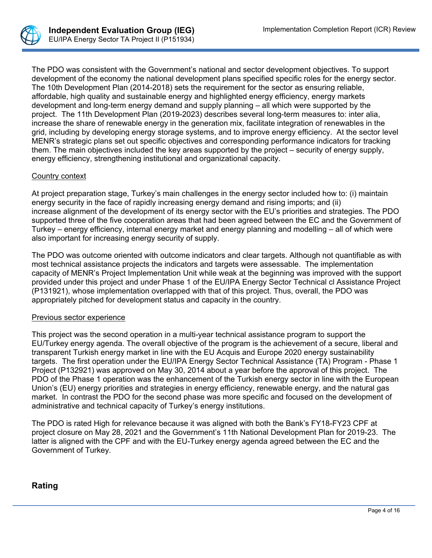

The PDO was consistent with the Government's national and sector development objectives. To support development of the economy the national development plans specified specific roles for the energy sector. The 10th Development Plan (2014-2018) sets the requirement for the sector as ensuring reliable, affordable, high quality and sustainable energy and highlighted energy efficiency, energy markets development and long-term energy demand and supply planning – all which were supported by the project. The 11th Development Plan (2019-2023) describes several long-term measures to: inter alia, increase the share of renewable energy in the generation mix, facilitate integration of renewables in the grid, including by developing energy storage systems, and to improve energy efficiency. At the sector level MENR's strategic plans set out specific objectives and corresponding performance indicators for tracking them. The main objectives included the key areas supported by the project – security of energy supply, energy efficiency, strengthening institutional and organizational capacity.

#### Country context

At project preparation stage, Turkey's main challenges in the energy sector included how to: (i) maintain energy security in the face of rapidly increasing energy demand and rising imports; and (ii) increase alignment of the development of its energy sector with the EU's priorities and strategies. The PDO supported three of the five cooperation areas that had been agreed between the EC and the Government of Turkey – energy efficiency, internal energy market and energy planning and modelling – all of which were also important for increasing energy security of supply.

The PDO was outcome oriented with outcome indicators and clear targets. Although not quantifiable as with most technical assistance projects the indicators and targets were assessable. The implementation capacity of MENR's Project Implementation Unit while weak at the beginning was improved with the support provided under this project and under Phase 1 of the EU/IPA Energy Sector Technical cl Assistance Project (P131921), whose implementation overlapped with that of this project. Thus, overall, the PDO was appropriately pitched for development status and capacity in the country.

#### Previous sector experience

This project was the second operation in a multi-year technical assistance program to support the EU/Turkey energy agenda. The overall objective of the program is the achievement of a secure, liberal and transparent Turkish energy market in line with the EU Acquis and Europe 2020 energy sustainability targets. The first operation under the EU/IPA Energy Sector Technical Assistance (TA) Program - Phase 1 Project (P132921) was approved on May 30, 2014 about a year before the approval of this project. The PDO of the Phase 1 operation was the enhancement of the Turkish energy sector in line with the European Union's (EU) energy priorities and strategies in energy efficiency, renewable energy, and the natural gas market. In contrast the PDO for the second phase was more specific and focused on the development of administrative and technical capacity of Turkey's energy institutions.

The PDO is rated High for relevance because it was aligned with both the Bank's FY18-FY23 CPF at project closure on May 28, 2021 and the Government's 11th National Development Plan for 2019-23. The latter is aligned with the CPF and with the EU-Turkey energy agenda agreed between the EC and the Government of Turkey.

### **Rating**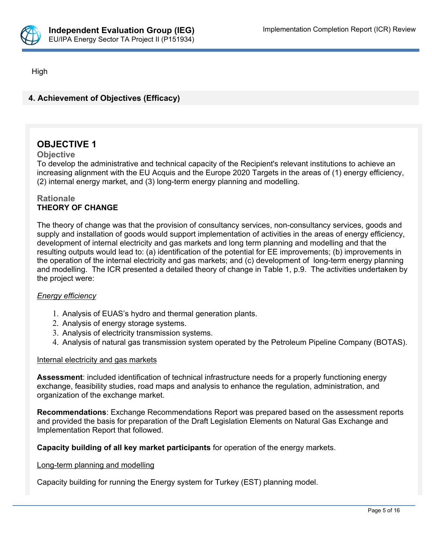

High

# **4. Achievement of Objectives (Efficacy)**

# **OBJECTIVE 1**

### **Objective**

To develop the administrative and technical capacity of the Recipient's relevant institutions to achieve an increasing alignment with the EU Acquis and the Europe 2020 Targets in the areas of (1) energy efficiency, (2) internal energy market, and (3) long-term energy planning and modelling.

## **Rationale THEORY OF CHANGE**

The theory of change was that the provision of consultancy services, non-consultancy services, goods and supply and installation of goods would support implementation of activities in the areas of energy efficiency, development of internal electricity and gas markets and long term planning and modelling and that the resulting outputs would lead to: (a) identification of the potential for EE improvements; (b) improvements in the operation of the internal electricity and gas markets; and (c) development of long-term energy planning and modelling. The ICR presented a detailed theory of change in Table 1, p.9. The activities undertaken by the project were:

### *Energy efficiency*

- 1. Analysis of EUAS's hydro and thermal generation plants.
- 2. Analysis of energy storage systems.
- 3. Analysis of electricity transmission systems.
- 4. Analysis of natural gas transmission system operated by the Petroleum Pipeline Company (BOTAS).

### Internal electricity and gas markets

**Assessment**: included identification of technical infrastructure needs for a properly functioning energy exchange, feasibility studies, road maps and analysis to enhance the regulation, administration, and organization of the exchange market.

**Recommendations**: Exchange Recommendations Report was prepared based on the assessment reports and provided the basis for preparation of the Draft Legislation Elements on Natural Gas Exchange and Implementation Report that followed.

**Capacity building of all key market participants** for operation of the energy markets.

#### Long-term planning and modelling

Capacity building for running the Energy system for Turkey (EST) planning model.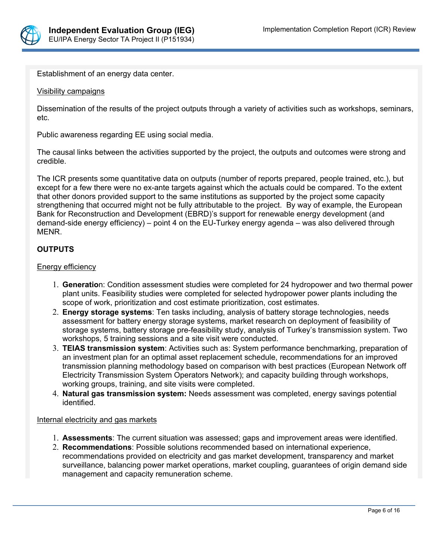

Establishment of an energy data center.

#### Visibility campaigns

Dissemination of the results of the project outputs through a variety of activities such as workshops, seminars, etc.

Public awareness regarding EE using social media.

The causal links between the activities supported by the project, the outputs and outcomes were strong and credible.

The ICR presents some quantitative data on outputs (number of reports prepared, people trained, etc.), but except for a few there were no ex-ante targets against which the actuals could be compared. To the extent that other donors provided support to the same institutions as supported by the project some capacity strengthening that occurred might not be fully attributable to the project. By way of example, the European Bank for Reconstruction and Development (EBRD)'s support for renewable energy development (and demand-side energy efficiency) – point 4 on the EU-Turkey energy agenda – was also delivered through MENR.

### **OUTPUTS**

#### Energy efficiency

- 1. **Generatio**n: Condition assessment studies were completed for 24 hydropower and two thermal power plant units. Feasibility studies were completed for selected hydropower power plants including the scope of work, prioritization and cost estimate prioritization, cost estimates.
- 2. **Energy storage systems**: Ten tasks including, analysis of battery storage technologies, needs assessment for battery energy storage systems, market research on deployment of feasibility of storage systems, battery storage pre-feasibility study, analysis of Turkey's transmission system. Two workshops, 5 training sessions and a site visit were conducted.
- 3. **TEIAS transmission system**: Activities such as: System performance benchmarking, preparation of an investment plan for an optimal asset replacement schedule, recommendations for an improved transmission planning methodology based on comparison with best practices (European Network off Electricity Transmission System Operators Network); and capacity building through workshops, working groups, training, and site visits were completed.
- 4. **Natural gas transmission system:** Needs assessment was completed, energy savings potential identified.

#### Internal electricity and gas markets

- 1. **Assessments**: The current situation was assessed; gaps and improvement areas were identified.
- 2. **Recommendations**: Possible solutions recommended based on international experience, recommendations provided on electricity and gas market development, transparency and market surveillance, balancing power market operations, market coupling, guarantees of origin demand side management and capacity remuneration scheme.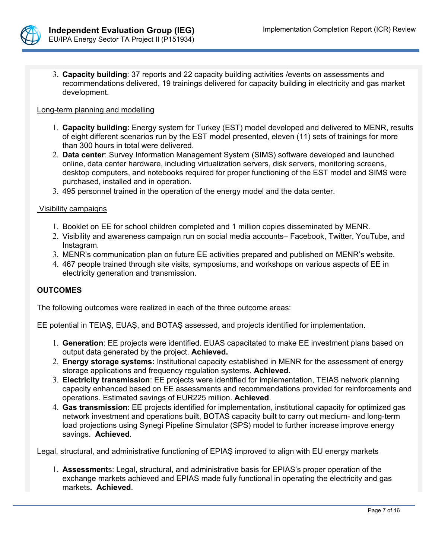

3. **Capacity building**: 37 reports and 22 capacity building activities /events on assessments and recommendations delivered, 19 trainings delivered for capacity building in electricity and gas market development.

#### Long-term planning and modelling

- 1. **Capacity building:** Energy system for Turkey (EST) model developed and delivered to MENR, results of eight different scenarios run by the EST model presented, eleven (11) sets of trainings for more than 300 hours in total were delivered.
- 2. **Data center**: Survey Information Management System (SIMS) software developed and launched online, data center hardware, including virtualization servers, disk servers, monitoring screens, desktop computers, and notebooks required for proper functioning of the EST model and SIMS were purchased, installed and in operation.
- 3. 495 personnel trained in the operation of the energy model and the data center.

### Visibility campaigns

- 1. Booklet on EE for school children completed and 1 million copies disseminated by MENR.
- 2. Visibility and awareness campaign run on social media accounts– Facebook, Twitter, YouTube, and Instagram.
- 3. MENR's communication plan on future EE activities prepared and published on MENR's website.
- 4. 467 people trained through site visits, symposiums, and workshops on various aspects of EE in electricity generation and transmission.

### **OUTCOMES**

The following outcomes were realized in each of the three outcome areas:

#### EE potential in TEIAŞ, EUAŞ, and BOTAŞ assessed, and projects identified for implementation.

- 1. **Generation**: EE projects were identified. EUAS capacitated to make EE investment plans based on output data generated by the project. **Achieved.**
- 2. **Energy storage systems:** Institutional capacity established in MENR for the assessment of energy storage applications and frequency regulation systems. **Achieved.**
- 3. **Electricity transmission**: EE projects were identified for implementation, TEIAS network planning capacity enhanced based on EE assessments and recommendations provided for reinforcements and operations. Estimated savings of EUR225 million. **Achieved**.
- 4. **Gas transmission**: EE projects identified for implementation, institutional capacity for optimized gas network investment and operations built, BOTAS capacity built to carry out medium- and long-term load projections using Synegi Pipeline Simulator (SPS) model to further increase improve energy savings. **Achieved**.

#### Legal, structural, and administrative functioning of EPIAŞ improved to align with EU energy markets

1. **Assessment**s: Legal, structural, and administrative basis for EPIAS's proper operation of the exchange markets achieved and EPIAS made fully functional in operating the electricity and gas markets**. Achieved**.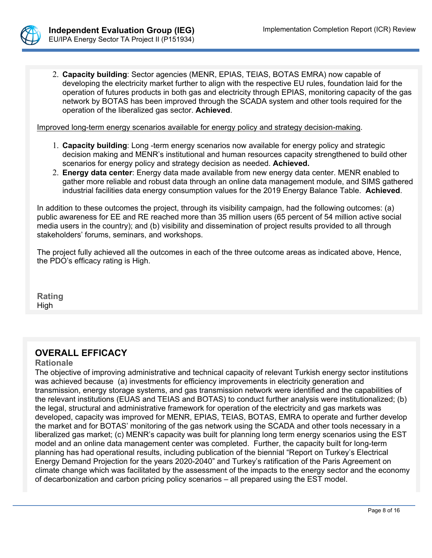

2. **Capacity building**: Sector agencies (MENR, EPIAS, TEIAS, BOTAS EMRA) now capable of developing the electricity market further to align with the respective EU rules, foundation laid for the operation of futures products in both gas and electricity through EPIAS, monitoring capacity of the gas network by BOTAS has been improved through the SCADA system and other tools required for the operation of the liberalized gas sector. **Achieved**.

Improved long-term energy scenarios available for energy policy and strategy decision-making.

- 1. **Capacity building**: Long -term energy scenarios now available for energy policy and strategic decision making and MENR's institutional and human resources capacity strengthened to build other scenarios for energy policy and strategy decision as needed. **Achieved.**
- 2. **Energy data center**: Energy data made available from new energy data center. MENR enabled to gather more reliable and robust data through an online data management module, and SIMS gathered industrial facilities data energy consumption values for the 2019 Energy Balance Table. **Achieved**.

In addition to these outcomes the project, through its visibility campaign, had the following outcomes: (a) public awareness for EE and RE reached more than 35 million users (65 percent of 54 million active social media users in the country); and (b) visibility and dissemination of project results provided to all through stakeholders' forums, seminars, and workshops.

The project fully achieved all the outcomes in each of the three outcome areas as indicated above, Hence, the PDO's efficacy rating is High.

**Rating** High

# **OVERALL EFFICACY**

#### **Rationale**

The objective of improving administrative and technical capacity of relevant Turkish energy sector institutions was achieved because (a) investments for efficiency improvements in electricity generation and transmission, energy storage systems, and gas transmission network were identified and the capabilities of the relevant institutions (EUAS and TEIAS and BOTAS) to conduct further analysis were institutionalized; (b) the legal, structural and administrative framework for operation of the electricity and gas markets was developed, capacity was improved for MENR, EPIAS, TEIAS, BOTAS, EMRA to operate and further develop the market and for BOTAS' monitoring of the gas network using the SCADA and other tools necessary in a liberalized gas market; (c) MENR's capacity was built for planning long term energy scenarios using the EST model and an online data management center was completed. Further, the capacity built for long-term planning has had operational results, including publication of the biennial "Report on Turkey's Electrical Energy Demand Projection for the years 2020-2040" and Turkey's ratification of the Paris Agreement on climate change which was facilitated by the assessment of the impacts to the energy sector and the economy of decarbonization and carbon pricing policy scenarios – all prepared using the EST model.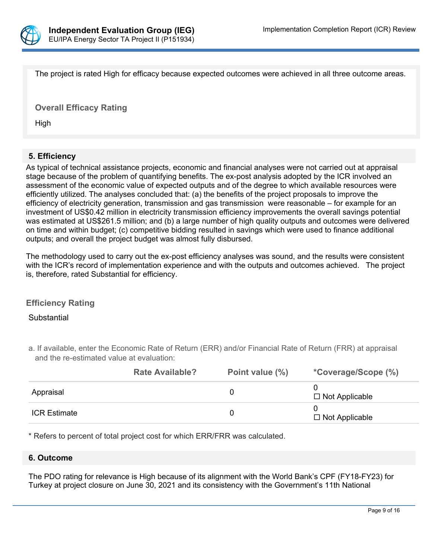

The project is rated High for efficacy because expected outcomes were achieved in all three outcome areas.

**Overall Efficacy Rating**

High

### **5. Efficiency**

As typical of technical assistance projects, economic and financial analyses were not carried out at appraisal stage because of the problem of quantifying benefits. The ex-post analysis adopted by the ICR involved an assessment of the economic value of expected outputs and of the degree to which available resources were efficiently utilized. The analyses concluded that: (a) the benefits of the project proposals to improve the efficiency of electricity generation, transmission and gas transmission were reasonable – for example for an investment of US\$0.42 million in electricity transmission efficiency improvements the overall savings potential was estimated at US\$261.5 million; and (b) a large number of high quality outputs and outcomes were delivered on time and within budget; (c) competitive bidding resulted in savings which were used to finance additional outputs; and overall the project budget was almost fully disbursed.

The methodology used to carry out the ex-post efficiency analyses was sound, and the results were consistent with the ICR's record of implementation experience and with the outputs and outcomes achieved. The project is, therefore, rated Substantial for efficiency.

### **Efficiency Rating**

#### **Substantial**

a. If available, enter the Economic Rate of Return (ERR) and/or Financial Rate of Return (FRR) at appraisal and the re-estimated value at evaluation:

|                     | <b>Rate Available?</b> | Point value (%) | <i>*Coverage/Scope (%)</i> |
|---------------------|------------------------|-----------------|----------------------------|
| Appraisal           |                        |                 | $\Box$ Not Applicable      |
| <b>ICR Estimate</b> |                        |                 | $\Box$ Not Applicable      |

\* Refers to percent of total project cost for which ERR/FRR was calculated.

#### **6. Outcome**

The PDO rating for relevance is High because of its alignment with the World Bank's CPF (FY18-FY23) for Turkey at project closure on June 30, 2021 and its consistency with the Government's 11th National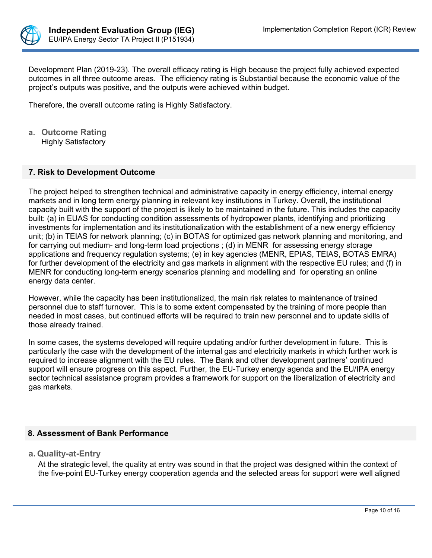

Development Plan (2019-23). The overall efficacy rating is High because the project fully achieved expected outcomes in all three outcome areas. The efficiency rating is Substantial because the economic value of the project's outputs was positive, and the outputs were achieved within budget.

Therefore, the overall outcome rating is Highly Satisfactory.

**a. Outcome Rating** Highly Satisfactory

#### **7. Risk to Development Outcome**

The project helped to strengthen technical and administrative capacity in energy efficiency, internal energy markets and in long term energy planning in relevant key institutions in Turkey. Overall, the institutional capacity built with the support of the project is likely to be maintained in the future. This includes the capacity built: (a) in EUAS for conducting condition assessments of hydropower plants, identifying and prioritizing investments for implementation and its institutionalization with the establishment of a new energy efficiency unit; (b) in TEIAS for network planning; (c) in BOTAS for optimized gas network planning and monitoring, and for carrying out medium- and long-term load projections ; (d) in MENR for assessing energy storage applications and frequency regulation systems; (e) in key agencies (MENR, EPIAS, TEIAS, BOTAS EMRA) for further development of the electricity and gas markets in alignment with the respective EU rules; and (f) in MENR for conducting long-term energy scenarios planning and modelling and for operating an online energy data center.

However, while the capacity has been institutionalized, the main risk relates to maintenance of trained personnel due to staff turnover. This is to some extent compensated by the training of more people than needed in most cases, but continued efforts will be required to train new personnel and to update skills of those already trained.

In some cases, the systems developed will require updating and/or further development in future. This is particularly the case with the development of the internal gas and electricity markets in which further work is required to increase alignment with the EU rules. The Bank and other development partners' continued support will ensure progress on this aspect. Further, the EU-Turkey energy agenda and the EU/IPA energy sector technical assistance program provides a framework for support on the liberalization of electricity and gas markets.

### **8. Assessment of Bank Performance**

**a. Quality-at-Entry**

At the strategic level, the quality at entry was sound in that the project was designed within the context of the five-point EU-Turkey energy cooperation agenda and the selected areas for support were well aligned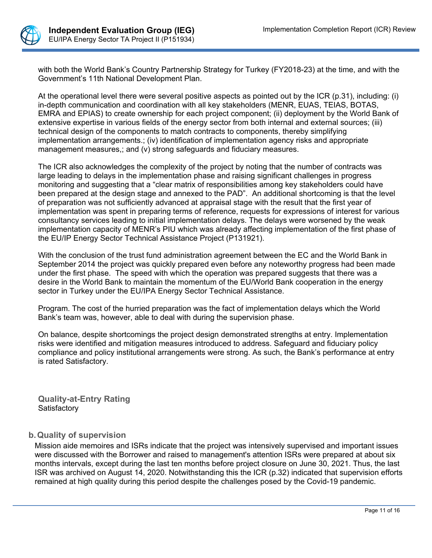

with both the World Bank's Country Partnership Strategy for Turkey (FY2018-23) at the time, and with the Government's 11th National Development Plan.

At the operational level there were several positive aspects as pointed out by the ICR (p.31), including: (i) in-depth communication and coordination with all key stakeholders (MENR, EUAS, TEIAS, BOTAS, EMRA and EPIAS) to create ownership for each project component; (ii) deployment by the World Bank of extensive expertise in various fields of the energy sector from both internal and external sources; (iii) technical design of the components to match contracts to components, thereby simplifying implementation arrangements.; (iv) identification of implementation agency risks and appropriate management measures,; and (v) strong safeguards and fiduciary measures.

The ICR also acknowledges the complexity of the project by noting that the number of contracts was large leading to delays in the implementation phase and raising significant challenges in progress monitoring and suggesting that a "clear matrix of responsibilities among key stakeholders could have been prepared at the design stage and annexed to the PAD". An additional shortcoming is that the level of preparation was not sufficiently advanced at appraisal stage with the result that the first year of implementation was spent in preparing terms of reference, requests for expressions of interest for various consultancy services leading to initial implementation delays. The delays were worsened by the weak implementation capacity of MENR's PIU which was already affecting implementation of the first phase of the EU/IP Energy Sector Technical Assistance Project (P131921).

With the conclusion of the trust fund administration agreement between the EC and the World Bank in September 2014 the project was quickly prepared even before any noteworthy progress had been made under the first phase. The speed with which the operation was prepared suggests that there was a desire in the World Bank to maintain the momentum of the EU/World Bank cooperation in the energy sector in Turkey under the EU/IPA Energy Sector Technical Assistance.

Program. The cost of the hurried preparation was the fact of implementation delays which the World Bank's team was, however, able to deal with during the supervision phase.

On balance, despite shortcomings the project design demonstrated strengths at entry. Implementation risks were identified and mitigation measures introduced to address. Safeguard and fiduciary policy compliance and policy institutional arrangements were strong. As such, the Bank's performance at entry is rated Satisfactory.

**Quality-at-Entry Rating Satisfactory** 

# **b.Quality of supervision**

Mission aide memoires and ISRs indicate that the project was intensively supervised and important issues were discussed with the Borrower and raised to management's attention ISRs were prepared at about six months intervals, except during the last ten months before project closure on June 30, 2021. Thus, the last ISR was archived on August 14, 2020. Notwithstanding this the ICR (p.32) indicated that supervision efforts remained at high quality during this period despite the challenges posed by the Covid-19 pandemic.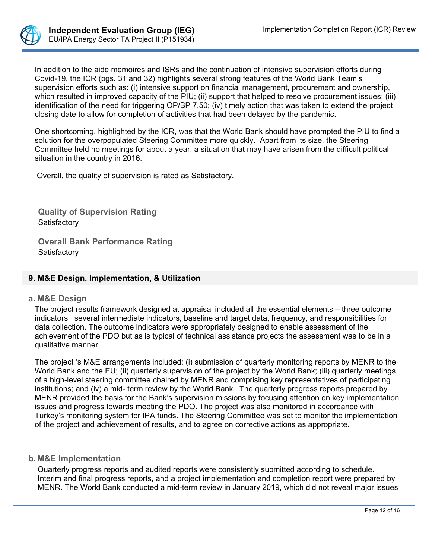

In addition to the aide memoires and ISRs and the continuation of intensive supervision efforts during Covid-19, the ICR (pgs. 31 and 32) highlights several strong features of the World Bank Team's supervision efforts such as: (i) intensive support on financial management, procurement and ownership, which resulted in improved capacity of the PIU; (ii) support that helped to resolve procurement issues; (iii) identification of the need for triggering OP/BP 7.50; (iv) timely action that was taken to extend the project closing date to allow for completion of activities that had been delayed by the pandemic.

One shortcoming, highlighted by the ICR, was that the World Bank should have prompted the PIU to find a solution for the overpopulated Steering Committee more quickly. Apart from its size, the Steering Committee held no meetings for about a year, a situation that may have arisen from the difficult political situation in the country in 2016.

Overall, the quality of supervision is rated as Satisfactory.

**Quality of Supervision Rating Satisfactory** 

**Overall Bank Performance Rating Satisfactory** 

### **9. M&E Design, Implementation, & Utilization**

#### **a. M&E Design**

The project results framework designed at appraisal included all the essential elements – three outcome indicators several intermediate indicators, baseline and target data, frequency, and responsibilities for data collection. The outcome indicators were appropriately designed to enable assessment of the achievement of the PDO but as is typical of technical assistance projects the assessment was to be in a qualitative manner.

The project 's M&E arrangements included: (i) submission of quarterly monitoring reports by MENR to the World Bank and the EU; (ii) quarterly supervision of the project by the World Bank; (iii) quarterly meetings of a high-level steering committee chaired by MENR and comprising key representatives of participating institutions; and (iv) a mid- term review by the World Bank. The quarterly progress reports prepared by MENR provided the basis for the Bank's supervision missions by focusing attention on key implementation issues and progress towards meeting the PDO. The project was also monitored in accordance with Turkey's monitoring system for IPA funds. The Steering Committee was set to monitor the implementation of the project and achievement of results, and to agree on corrective actions as appropriate.

### **b. M&E Implementation**

Quarterly progress reports and audited reports were consistently submitted according to schedule. Interim and final progress reports, and a project implementation and completion report were prepared by MENR. The World Bank conducted a mid-term review in January 2019, which did not reveal major issues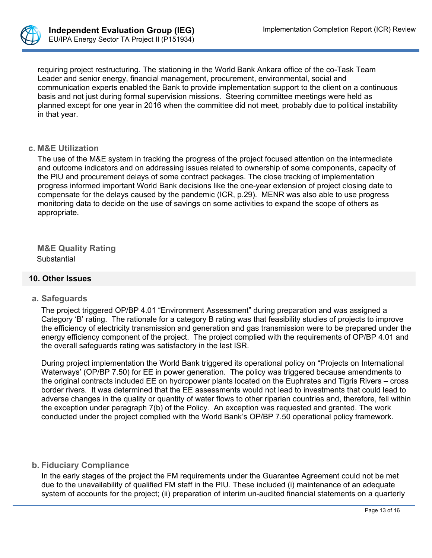

requiring project restructuring. The stationing in the World Bank Ankara office of the co-Task Team Leader and senior energy, financial management, procurement, environmental, social and communication experts enabled the Bank to provide implementation support to the client on a continuous basis and not just during formal supervision missions. Steering committee meetings were held as planned except for one year in 2016 when the committee did not meet, probably due to political instability in that year.

#### **c. M&E Utilization**

The use of the M&E system in tracking the progress of the project focused attention on the intermediate and outcome indicators and on addressing issues related to ownership of some components, capacity of the PIU and procurement delays of some contract packages. The close tracking of implementation progress informed important World Bank decisions like the one-year extension of project closing date to compensate for the delays caused by the pandemic (ICR, p.29). MENR was also able to use progress monitoring data to decide on the use of savings on some activities to expand the scope of others as appropriate.

**M&E Quality Rating** Substantial

### **10. Other Issues**

#### **a. Safeguards**

The project triggered OP/BP 4.01 "Environment Assessment" during preparation and was assigned a Category 'B' rating. The rationale for a category B rating was that feasibility studies of projects to improve the efficiency of electricity transmission and generation and gas transmission were to be prepared under the energy efficiency component of the project. The project complied with the requirements of OP/BP 4.01 and the overall safeguards rating was satisfactory in the last ISR.

During project implementation the World Bank triggered its operational policy on "Projects on International Waterways' (OP/BP 7.50) for EE in power generation. The policy was triggered because amendments to the original contracts included EE on hydropower plants located on the Euphrates and Tigris Rivers – cross border rivers. It was determined that the EE assessments would not lead to investments that could lead to adverse changes in the quality or quantity of water flows to other riparian countries and, therefore, fell within the exception under paragraph 7(b) of the Policy. An exception was requested and granted. The work conducted under the project complied with the World Bank's OP/BP 7.50 operational policy framework.

#### **b. Fiduciary Compliance**

In the early stages of the project the FM requirements under the Guarantee Agreement could not be met due to the unavailability of qualified FM staff in the PIU. These included (i) maintenance of an adequate system of accounts for the project; (ii) preparation of interim un-audited financial statements on a quarterly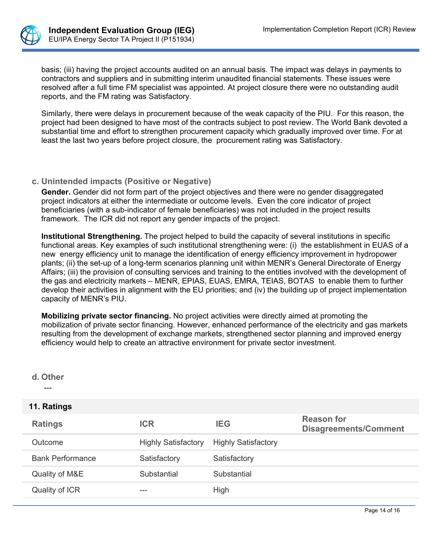

basis; (iii) having the project accounts audited on an annual basis. The impact was delays in payments to contractors and suppliers and in submitting interim unaudited financial statements. These issues were resolved after a full time FM specialist was appointed. At project closure there were no outstanding audit reports, and the FM rating was Satisfactory.

Similarly, there were delays in procurement because of the weak capacity of the PIU. For this reason, the project had been designed to have most of the contracts subject to post review. The World Bank devoted a substantial time and effort to strengthen procurement capacity which gradually improved over time. For at least the last two years before project closure, the procurement rating was Satisfactory.

### **c. Unintended impacts (Positive or Negative)**

**Gender.** Gender did not form part of the project objectives and there were no gender disaggregated project indicators at either the intermediate or outcome levels. Even the core indicator of project beneficiaries (with a sub-indicator of female beneficiaries) was not included in the project results framework. The ICR did not report any gender impacts of the project.

**Institutional Strengthening.** The project helped to build the capacity of several institutions in specific functional areas. Key examples of such institutional strengthening were: (i) the establishment in EUAS of a new energy efficiency unit to manage the identification of energy efficiency improvement in hydropower plants; (ii) the set-up of a long-term scenarios planning unit within MENR's General Directorate of Energy Affairs; (iii) the provision of consulting services and training to the entities involved with the development of the gas and electricity markets – MENR, EPIAS, EUAS, EMRA, TEIAS, BOTAS to enable them to further develop their activities in alignment with the EU priorities; and (iv) the building up of project implementation capacity of MENR's PIU.

**Mobilizing private sector financing.** No project activities were directly aimed at promoting the mobilization of private sector financing. However, enhanced performance of the electricity and gas markets resulting from the development of exchange markets, strengthened sector planning and improved energy efficiency would help to create an attractive environment for private sector investment.

**d. Other**

---

### **11. Ratings**

| <b>Ratings</b>          | <b>ICR</b>                 | <b>IEG</b>                 | <b>Reason for</b><br><b>Disagreements/Comment</b> |
|-------------------------|----------------------------|----------------------------|---------------------------------------------------|
| Outcome                 | <b>Highly Satisfactory</b> | <b>Highly Satisfactory</b> |                                                   |
| <b>Bank Performance</b> | Satisfactory               | Satisfactory               |                                                   |
| Quality of M&E          | Substantial                | Substantial                |                                                   |
| Quality of ICR          | $---$                      | High                       |                                                   |
|                         |                            |                            |                                                   |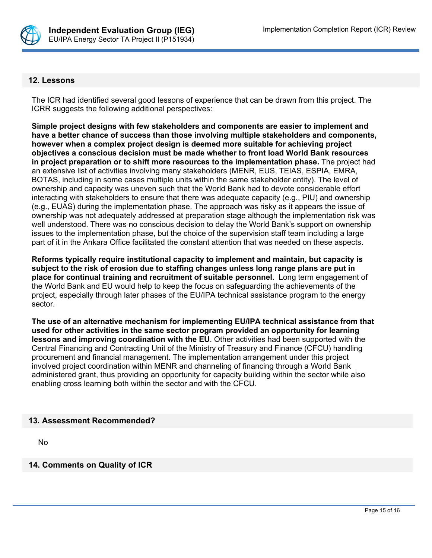

#### **12. Lessons**

The ICR had identified several good lessons of experience that can be drawn from this project. The ICRR suggests the following additional perspectives:

**Simple project designs with few stakeholders and components are easier to implement and have a better chance of success than those involving multiple stakeholders and components, however when a complex project design is deemed more suitable for achieving project objectives a conscious decision must be made whether to front load World Bank resources in project preparation or to shift more resources to the implementation phase.** The project had an extensive list of activities involving many stakeholders (MENR, EUS, TEIAS, ESPIA, EMRA, BOTAS, including in some cases multiple units within the same stakeholder entity). The level of ownership and capacity was uneven such that the World Bank had to devote considerable effort interacting with stakeholders to ensure that there was adequate capacity (e.g., PIU) and ownership (e.g., EUAS) during the implementation phase. The approach was risky as it appears the issue of ownership was not adequately addressed at preparation stage although the implementation risk was well understood. There was no conscious decision to delay the World Bank's support on ownership issues to the implementation phase, but the choice of the supervision staff team including a large part of it in the Ankara Office facilitated the constant attention that was needed on these aspects.

**Reforms typically require institutional capacity to implement and maintain, but capacity is subject to the risk of erosion due to staffing changes unless long range plans are put in place for continual training and recruitment of suitable personnel**. Long term engagement of the World Bank and EU would help to keep the focus on safeguarding the achievements of the project, especially through later phases of the EU/IPA technical assistance program to the energy sector.

**The use of an alternative mechanism for implementing EU/IPA technical assistance from that used for other activities in the same sector program provided an opportunity for learning lessons and improving coordination with the EU**. Other activities had been supported with the Central Financing and Contracting Unit of the Ministry of Treasury and Finance (CFCU) handling procurement and financial management. The implementation arrangement under this project involved project coordination within MENR and channeling of financing through a World Bank administered grant, thus providing an opportunity for capacity building within the sector while also enabling cross learning both within the sector and with the CFCU.

#### **13. Assessment Recommended?**

No

**14. Comments on Quality of ICR**